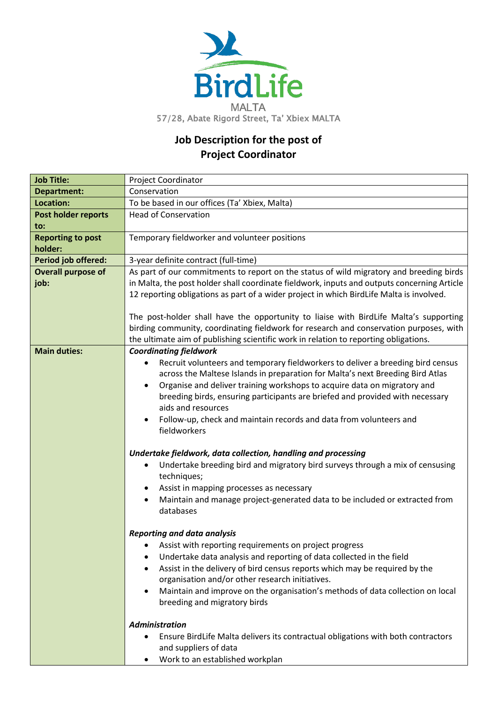

## **Job Description for the post of Project Coordinator**

| <b>Job Title:</b>                   | <b>Project Coordinator</b>                                                                                                                                                                                                                                                                                                                                                                                                                                                                                                                                                                                                                                                                                                                                                                                                                                                                                                                                                                                                                                                                                                                                                                                                                                                                                                                                                                                                           |
|-------------------------------------|--------------------------------------------------------------------------------------------------------------------------------------------------------------------------------------------------------------------------------------------------------------------------------------------------------------------------------------------------------------------------------------------------------------------------------------------------------------------------------------------------------------------------------------------------------------------------------------------------------------------------------------------------------------------------------------------------------------------------------------------------------------------------------------------------------------------------------------------------------------------------------------------------------------------------------------------------------------------------------------------------------------------------------------------------------------------------------------------------------------------------------------------------------------------------------------------------------------------------------------------------------------------------------------------------------------------------------------------------------------------------------------------------------------------------------------|
| <b>Department:</b>                  | Conservation                                                                                                                                                                                                                                                                                                                                                                                                                                                                                                                                                                                                                                                                                                                                                                                                                                                                                                                                                                                                                                                                                                                                                                                                                                                                                                                                                                                                                         |
| Location:                           | To be based in our offices (Ta' Xbiex, Malta)                                                                                                                                                                                                                                                                                                                                                                                                                                                                                                                                                                                                                                                                                                                                                                                                                                                                                                                                                                                                                                                                                                                                                                                                                                                                                                                                                                                        |
| Post holder reports<br>to:          | <b>Head of Conservation</b>                                                                                                                                                                                                                                                                                                                                                                                                                                                                                                                                                                                                                                                                                                                                                                                                                                                                                                                                                                                                                                                                                                                                                                                                                                                                                                                                                                                                          |
| <b>Reporting to post</b><br>holder: | Temporary fieldworker and volunteer positions                                                                                                                                                                                                                                                                                                                                                                                                                                                                                                                                                                                                                                                                                                                                                                                                                                                                                                                                                                                                                                                                                                                                                                                                                                                                                                                                                                                        |
| Period job offered:                 | 3-year definite contract (full-time)                                                                                                                                                                                                                                                                                                                                                                                                                                                                                                                                                                                                                                                                                                                                                                                                                                                                                                                                                                                                                                                                                                                                                                                                                                                                                                                                                                                                 |
| <b>Overall purpose of</b><br>job:   | As part of our commitments to report on the status of wild migratory and breeding birds<br>in Malta, the post holder shall coordinate fieldwork, inputs and outputs concerning Article<br>12 reporting obligations as part of a wider project in which BirdLife Malta is involved.                                                                                                                                                                                                                                                                                                                                                                                                                                                                                                                                                                                                                                                                                                                                                                                                                                                                                                                                                                                                                                                                                                                                                   |
|                                     | The post-holder shall have the opportunity to liaise with BirdLife Malta's supporting<br>birding community, coordinating fieldwork for research and conservation purposes, with<br>the ultimate aim of publishing scientific work in relation to reporting obligations.                                                                                                                                                                                                                                                                                                                                                                                                                                                                                                                                                                                                                                                                                                                                                                                                                                                                                                                                                                                                                                                                                                                                                              |
| <b>Main duties:</b>                 | <b>Coordinating fieldwork</b><br>Recruit volunteers and temporary fieldworkers to deliver a breeding bird census<br>$\bullet$<br>across the Maltese Islands in preparation for Malta's next Breeding Bird Atlas<br>Organise and deliver training workshops to acquire data on migratory and<br>$\bullet$<br>breeding birds, ensuring participants are briefed and provided with necessary<br>aids and resources<br>Follow-up, check and maintain records and data from volunteers and<br>fieldworkers<br>Undertake fieldwork, data collection, handling and processing<br>Undertake breeding bird and migratory bird surveys through a mix of censusing<br>techniques;<br>Assist in mapping processes as necessary<br>$\bullet$<br>Maintain and manage project-generated data to be included or extracted from<br>databases<br><b>Reporting and data analysis</b><br>Assist with reporting requirements on project progress<br>Undertake data analysis and reporting of data collected in the field<br>Assist in the delivery of bird census reports which may be required by the<br>٠<br>organisation and/or other research initiatives.<br>Maintain and improve on the organisation's methods of data collection on local<br>breeding and migratory birds<br><b>Administration</b><br>Ensure BirdLife Malta delivers its contractual obligations with both contractors<br>and suppliers of data<br>Work to an established workplan |